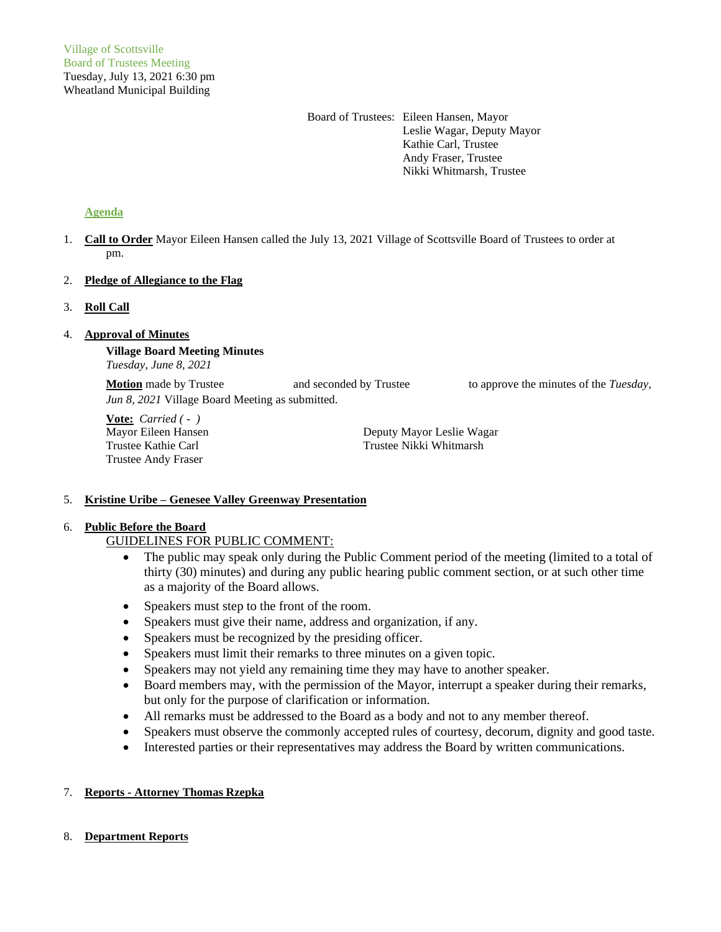Board of Trustees: Eileen Hansen, Mayor Leslie Wagar, Deputy Mayor Kathie Carl, Trustee Andy Fraser, Trustee Nikki Whitmarsh, Trustee

# **Agenda**

1. **Call to Order** Mayor Eileen Hansen called the July 13, 2021 Village of Scottsville Board of Trustees to order at pm.

# 2. **Pledge of Allegiance to the Flag**

# 3. **Roll Call**

# 4. **Approval of Minutes**

**Village Board Meeting Minutes** *Tuesday, June 8, 2021*

**Motion** made by Trustee and seconded by Trustee to approve the minutes of the *Tuesday*, *Jun 8, 2021* Village Board Meeting as submitted.

**Vote:** *Carried ( - )* Trustee Andy Fraser

Mayor Eileen Hansen Deputy Mayor Leslie Wagar Trustee Kathie Carl Trustee Nikki Whitmarsh

### 5. **Kristine Uribe – Genesee Valley Greenway Presentation**

# 6. **Public Before the Board**

# GUIDELINES FOR PUBLIC COMMENT:

- The public may speak only during the Public Comment period of the meeting (limited to a total of thirty (30) minutes) and during any public hearing public comment section, or at such other time as a majority of the Board allows.
- Speakers must step to the front of the room.
- Speakers must give their name, address and organization, if any.
- Speakers must be recognized by the presiding officer.
- Speakers must limit their remarks to three minutes on a given topic.
- Speakers may not yield any remaining time they may have to another speaker.
- Board members may, with the permission of the Mayor, interrupt a speaker during their remarks, but only for the purpose of clarification or information.
- All remarks must be addressed to the Board as a body and not to any member thereof.
- Speakers must observe the commonly accepted rules of courtesy, decorum, dignity and good taste.
- Interested parties or their representatives may address the Board by written communications.

# 7. **Reports - Attorney Thomas Rzepka**

# 8. **Department Reports**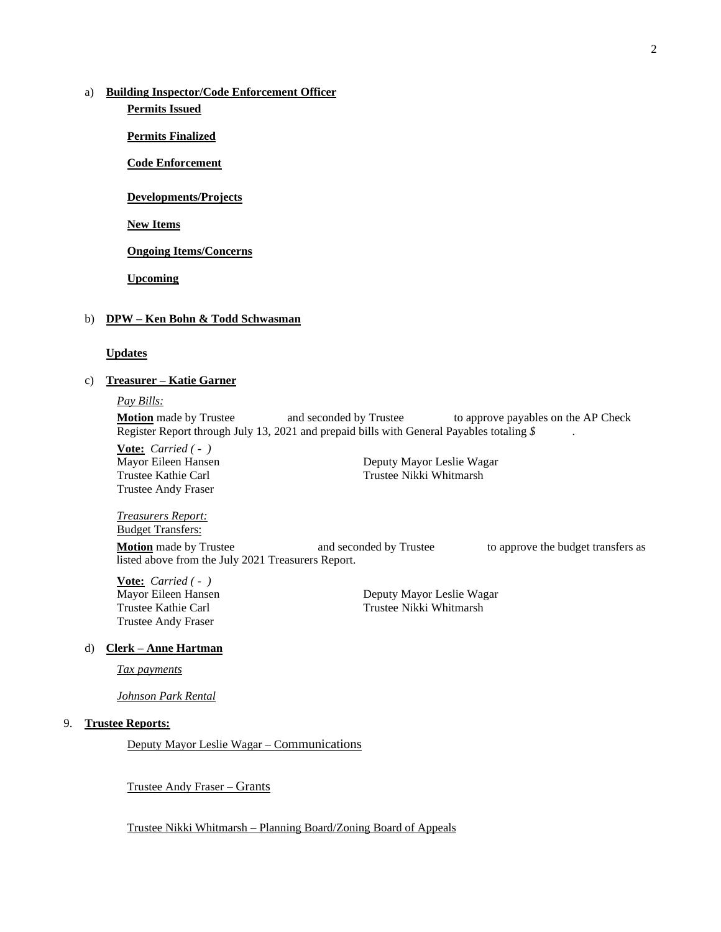# a) **Building Inspector/Code Enforcement Officer**

**Permits Issued**

**Permits Finalized**

**Code Enforcement**

**Developments/Projects**

**New Items**

**Ongoing Items/Concerns**

**Upcoming**

#### b) **DPW – Ken Bohn & Todd Schwasman**

#### **Updates**

# c) **Treasurer – Katie Garner**

*Pay Bills:*

**Motion** made by Trustee and seconded by Trustee to approve payables on the AP Check Register Report through July 13, 2021 and prepaid bills with General Payables totaling *\$* .

**Vote:** *Carried ( - )* Trustee Andy Fraser

Mayor Eileen Hansen Deputy Mayor Leslie Wagar Trustee Kathie Carl Trustee Nikki Whitmarsh

*Treasurers Report:*

Budget Transfers:

**Motion** made by Trustee **and seconded by Trustee** to approve the budget transfers as listed above from the July 2021 Treasurers Report.

**Vote:** *Carried ( - )* Mayor Eileen Hansen Deputy Mayor Leslie Wagar Trustee Andy Fraser

Trustee Kathie Carl Trustee Nikki Whitmarsh

# d) **Clerk – Anne Hartman**

*Tax payments*

*Johnson Park Rental*

# 9. **Trustee Reports:**

Deputy Mayor Leslie Wagar – Communications

Trustee Andy Fraser – Grants

Trustee Nikki Whitmarsh – Planning Board/Zoning Board of Appeals